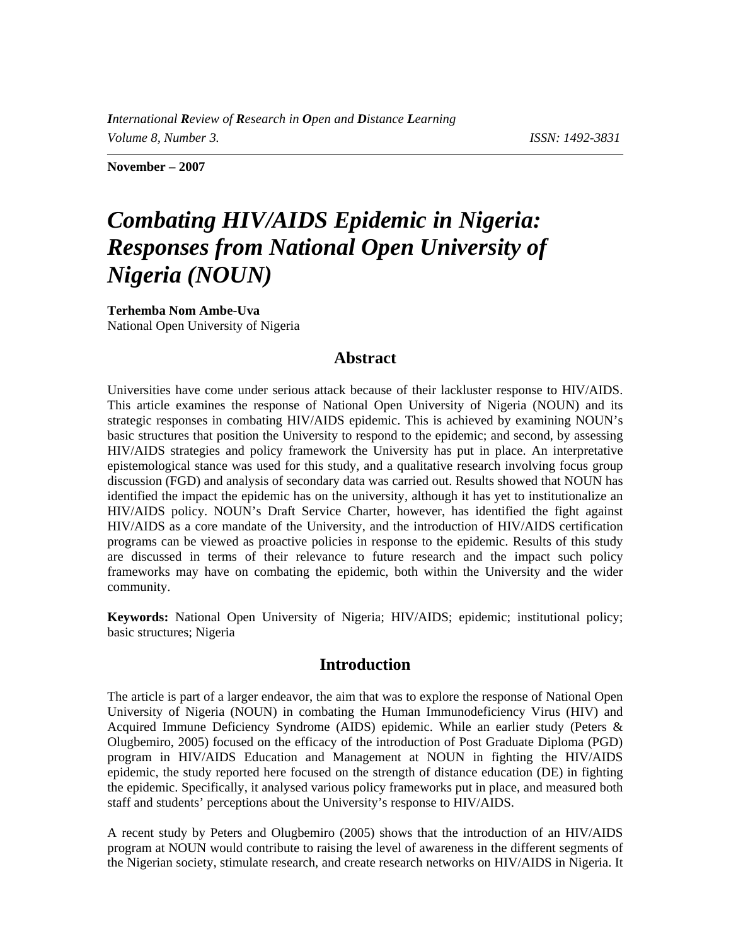**November – 2007** 

# *Combating HIV/AIDS Epidemic in Nigeria: Responses from National Open University of Nigeria (NOUN)*

**Terhemba Nom Ambe-Uva** National Open University of Nigeria

# **Abstract**

Universities have come under serious attack because of their lackluster response to HIV/AIDS. This article examines the response of National Open University of Nigeria (NOUN) and its strategic responses in combating HIV/AIDS epidemic. This is achieved by examining NOUN's basic structures that position the University to respond to the epidemic; and second, by assessing HIV/AIDS strategies and policy framework the University has put in place. An interpretative epistemological stance was used for this study, and a qualitative research involving focus group discussion (FGD) and analysis of secondary data was carried out. Results showed that NOUN has identified the impact the epidemic has on the university, although it has yet to institutionalize an HIV/AIDS policy. NOUN's Draft Service Charter, however, has identified the fight against HIV/AIDS as a core mandate of the University, and the introduction of HIV/AIDS certification programs can be viewed as proactive policies in response to the epidemic. Results of this study are discussed in terms of their relevance to future research and the impact such policy frameworks may have on combating the epidemic, both within the University and the wider community.

**Keywords:** National Open University of Nigeria; HIV/AIDS; epidemic; institutional policy; basic structures; Nigeria

# **Introduction**

The article is part of a larger endeavor, the aim that was to explore the response of National Open University of Nigeria (NOUN) in combating the Human Immunodeficiency Virus (HIV) and Acquired Immune Deficiency Syndrome (AIDS) epidemic. While an earlier study (Peters & Olugbemiro, 2005) focused on the efficacy of the introduction of Post Graduate Diploma (PGD) program in HIV/AIDS Education and Management at NOUN in fighting the HIV/AIDS epidemic, the study reported here focused on the strength of distance education (DE) in fighting the epidemic. Specifically, it analysed various policy frameworks put in place, and measured both staff and students' perceptions about the University's response to HIV/AIDS.

A recent study by Peters and Olugbemiro (2005) shows that the introduction of an HIV/AIDS program at NOUN would contribute to raising the level of awareness in the different segments of the Nigerian society, stimulate research, and create research networks on HIV/AIDS in Nigeria. It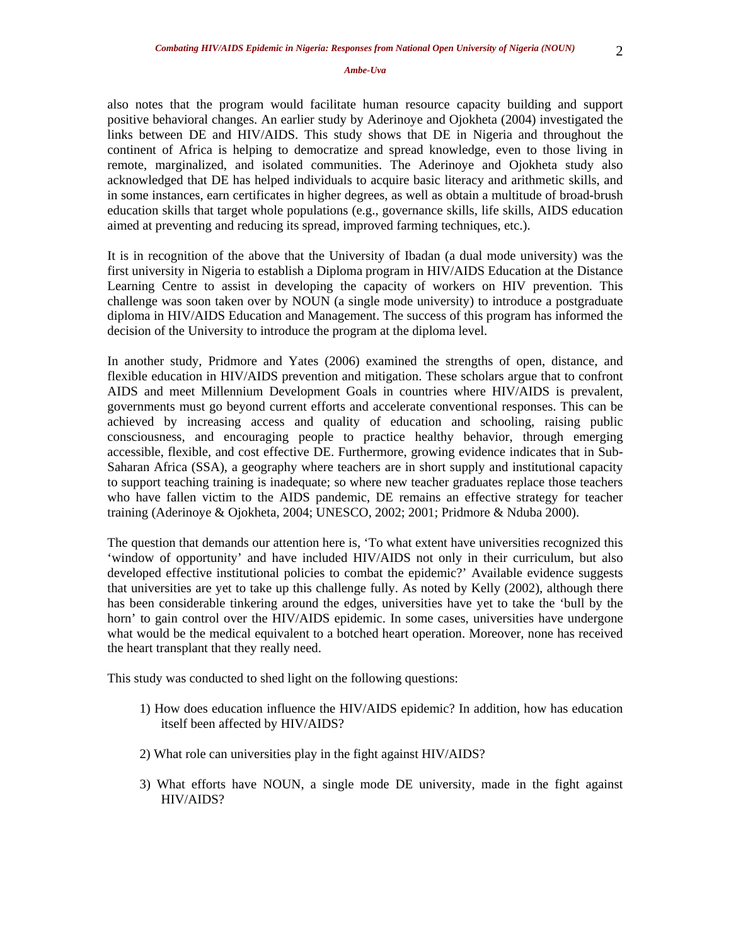also notes that the program would facilitate human resource capacity building and support positive behavioral changes. An earlier study by Aderinoye and Ojokheta (2004) investigated the links between DE and HIV/AIDS. This study shows that DE in Nigeria and throughout the continent of Africa is helping to democratize and spread knowledge, even to those living in remote, marginalized, and isolated communities. The Aderinoye and Ojokheta study also acknowledged that DE has helped individuals to acquire basic literacy and arithmetic skills, and in some instances, earn certificates in higher degrees, as well as obtain a multitude of broad-brush education skills that target whole populations (e.g., governance skills, life skills, AIDS education aimed at preventing and reducing its spread, improved farming techniques, etc.).

It is in recognition of the above that the University of Ibadan (a dual mode university) was the first university in Nigeria to establish a Diploma program in HIV/AIDS Education at the Distance Learning Centre to assist in developing the capacity of workers on HIV prevention. This challenge was soon taken over by NOUN (a single mode university) to introduce a postgraduate diploma in HIV/AIDS Education and Management. The success of this program has informed the decision of the University to introduce the program at the diploma level.

In another study, Pridmore and Yates (2006) examined the strengths of open, distance, and flexible education in HIV/AIDS prevention and mitigation. These scholars argue that to confront AIDS and meet Millennium Development Goals in countries where HIV/AIDS is prevalent, governments must go beyond current efforts and accelerate conventional responses. This can be achieved by increasing access and quality of education and schooling, raising public consciousness, and encouraging people to practice healthy behavior, through emerging accessible, flexible, and cost effective DE. Furthermore, growing evidence indicates that in Sub-Saharan Africa (SSA), a geography where teachers are in short supply and institutional capacity to support teaching training is inadequate; so where new teacher graduates replace those teachers who have fallen victim to the AIDS pandemic, DE remains an effective strategy for teacher training (Aderinoye & Ojokheta, 2004; UNESCO, 2002; 2001; Pridmore & Nduba 2000).

The question that demands our attention here is, 'To what extent have universities recognized this 'window of opportunity' and have included HIV/AIDS not only in their curriculum, but also developed effective institutional policies to combat the epidemic?' Available evidence suggests that universities are yet to take up this challenge fully. As noted by Kelly (2002), although there has been considerable tinkering around the edges, universities have yet to take the 'bull by the horn' to gain control over the HIV/AIDS epidemic. In some cases, universities have undergone what would be the medical equivalent to a botched heart operation. Moreover, none has received the heart transplant that they really need.

This study was conducted to shed light on the following questions:

- 1) How does education influence the HIV/AIDS epidemic? In addition, how has education itself been affected by HIV/AIDS?
- 2) What role can universities play in the fight against HIV/AIDS?
- 3) What efforts have NOUN, a single mode DE university, made in the fight against HIV/AIDS?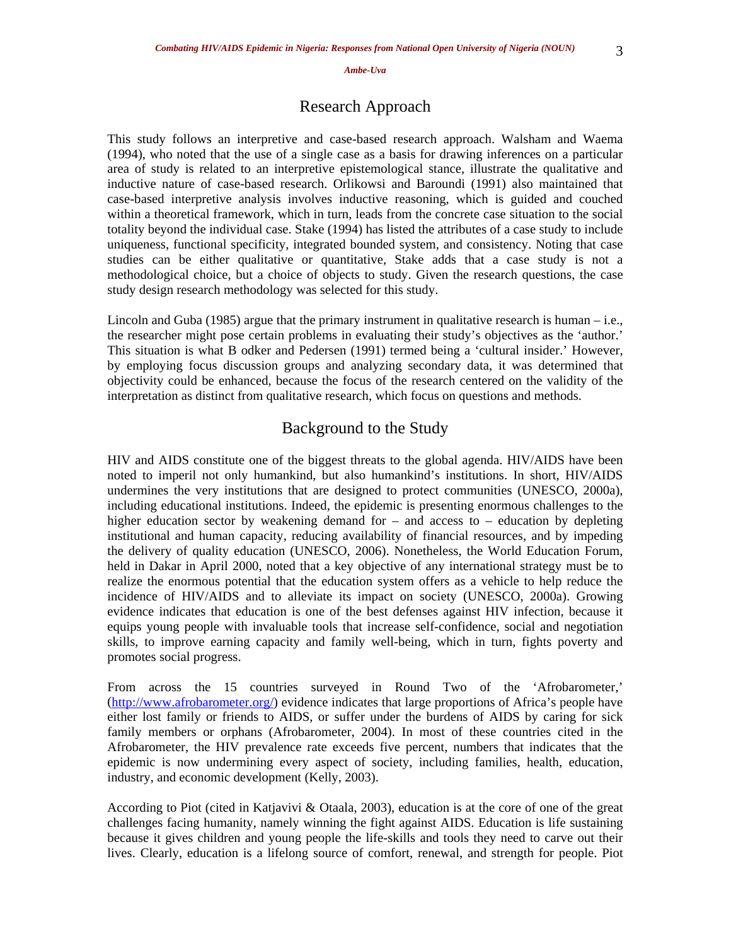### Research Approach

This study follows an interpretive and case-based research approach. Walsham and Waema (1994), who noted that the use of a single case as a basis for drawing inferences on a particular area of study is related to an interpretive epistemological stance, illustrate the qualitative and inductive nature of case-based research. Orlikowsi and Baroundi (1991) also maintained that case-based interpretive analysis involves inductive reasoning, which is guided and couched within a theoretical framework, which in turn, leads from the concrete case situation to the social totality beyond the individual case. Stake (1994) has listed the attributes of a case study to include uniqueness, functional specificity, integrated bounded system, and consistency. Noting that case studies can be either qualitative or quantitative, Stake adds that a case study is not a methodological choice, but a choice of objects to study. Given the research questions, the case study design research methodology was selected for this study.

Lincoln and Guba (1985) argue that the primary instrument in qualitative research is human – i.e., the researcher might pose certain problems in evaluating their study's objectives as the 'author.' This situation is what B odker and Pedersen (1991) termed being a 'cultural insider.' However, by employing focus discussion groups and analyzing secondary data, it was determined that objectivity could be enhanced, because the focus of the research centered on the validity of the interpretation as distinct from qualitative research, which focus on questions and methods.

### Background to the Study

HIV and AIDS constitute one of the biggest threats to the global agenda. HIV/AIDS have been noted to imperil not only humankind, but also humankind's institutions. In short, HIV/AIDS undermines the very institutions that are designed to protect communities (UNESCO, 2000a), including educational institutions. Indeed, the epidemic is presenting enormous challenges to the higher education sector by weakening demand for – and access to – education by depleting institutional and human capacity, reducing availability of financial resources, and by impeding the delivery of quality education (UNESCO, 2006). Nonetheless, the World Education Forum, held in Dakar in April 2000, noted that a key objective of any international strategy must be to realize the enormous potential that the education system offers as a vehicle to help reduce the incidence of HIV/AIDS and to alleviate its impact on society (UNESCO, 2000a). Growing evidence indicates that education is one of the best defenses against HIV infection, because it equips young people with invaluable tools that increase self-confidence, social and negotiation skills, to improve earning capacity and family well-being, which in turn, fights poverty and promotes social progress.

From across the 15 countries surveyed in Round Two of the 'Afrobarometer,' (<http://www.afrobarometer.org/>) evidence indicates that large proportions of Africa's people have either lost family or friends to AIDS, or suffer under the burdens of AIDS by caring for sick family members or orphans (Afrobarometer, 2004). In most of these countries cited in the Afrobarometer, the HIV prevalence rate exceeds five percent, numbers that indicates that the epidemic is now undermining every aspect of society, including families, health, education, industry, and economic development (Kelly, 2003).

According to Piot (cited in Katjavivi & Otaala, 2003), education is at the core of one of the great challenges facing humanity, namely winning the fight against AIDS. Education is life sustaining because it gives children and young people the life-skills and tools they need to carve out their lives. Clearly, education is a lifelong source of comfort, renewal, and strength for people. Piot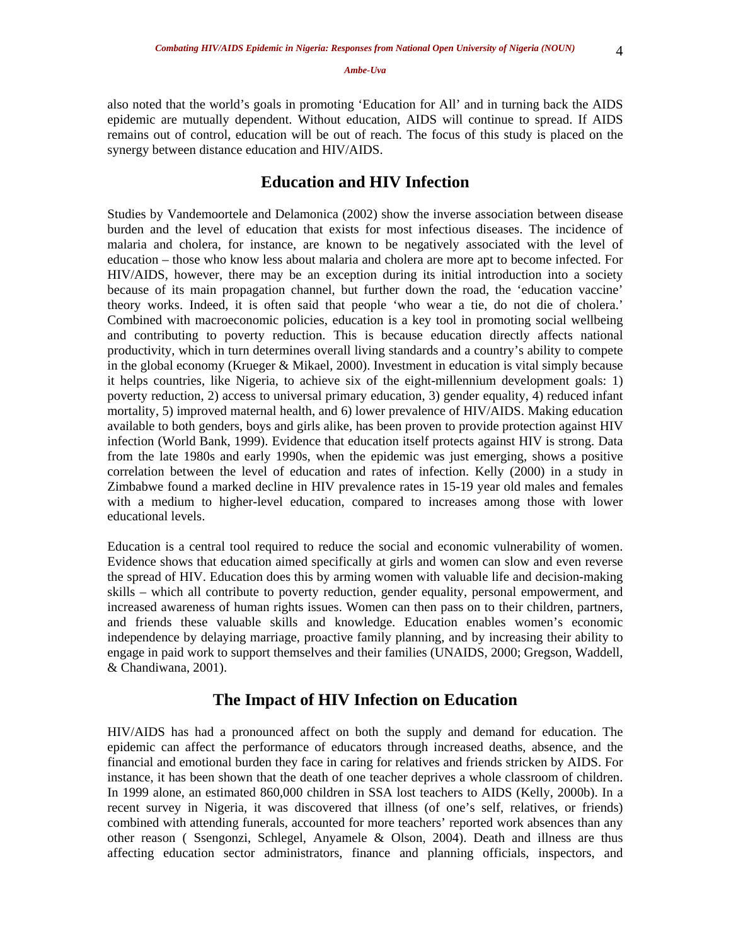also noted that the world's goals in promoting 'Education for All' and in turning back the AIDS epidemic are mutually dependent. Without education, AIDS will continue to spread. If AIDS remains out of control, education will be out of reach. The focus of this study is placed on the synergy between distance education and HIV/AIDS.

# **Education and HIV Infection**

Studies by Vandemoortele and Delamonica (2002) show the inverse association between disease burden and the level of education that exists for most infectious diseases. The incidence of malaria and cholera, for instance, are known to be negatively associated with the level of education – those who know less about malaria and cholera are more apt to become infected. For HIV/AIDS, however, there may be an exception during its initial introduction into a society because of its main propagation channel, but further down the road, the 'education vaccine' theory works. Indeed, it is often said that people 'who wear a tie, do not die of cholera.' Combined with macroeconomic policies, education is a key tool in promoting social wellbeing and contributing to poverty reduction. This is because education directly affects national productivity, which in turn determines overall living standards and a country's ability to compete in the global economy (Krueger & Mikael, 2000). Investment in education is vital simply because it helps countries, like Nigeria, to achieve six of the eight-millennium development goals: 1) poverty reduction, 2) access to universal primary education, 3) gender equality, 4) reduced infant mortality, 5) improved maternal health, and 6) lower prevalence of HIV/AIDS. Making education available to both genders, boys and girls alike, has been proven to provide protection against HIV infection (World Bank, 1999). Evidence that education itself protects against HIV is strong. Data from the late 1980s and early 1990s, when the epidemic was just emerging, shows a positive correlation between the level of education and rates of infection. Kelly (2000) in a study in Zimbabwe found a marked decline in HIV prevalence rates in 15-19 year old males and females with a medium to higher-level education, compared to increases among those with lower educational levels.

Education is a central tool required to reduce the social and economic vulnerability of women. Evidence shows that education aimed specifically at girls and women can slow and even reverse the spread of HIV. Education does this by arming women with valuable life and decision-making skills – which all contribute to poverty reduction, gender equality, personal empowerment, and increased awareness of human rights issues. Women can then pass on to their children, partners, and friends these valuable skills and knowledge. Education enables women's economic independence by delaying marriage, proactive family planning, and by increasing their ability to engage in paid work to support themselves and their families (UNAIDS, 2000; Gregson, Waddell, & Chandiwana, 2001).

### **The Impact of HIV Infection on Education**

HIV/AIDS has had a pronounced affect on both the supply and demand for education. The epidemic can affect the performance of educators through increased deaths, absence, and the financial and emotional burden they face in caring for relatives and friends stricken by AIDS. For instance, it has been shown that the death of one teacher deprives a whole classroom of children. In 1999 alone, an estimated 860,000 children in SSA lost teachers to AIDS (Kelly, 2000b). In a recent survey in Nigeria, it was discovered that illness (of one's self, relatives, or friends) combined with attending funerals, accounted for more teachers' reported work absences than any other reason ( Ssengonzi, Schlegel, Anyamele & Olson, 2004). Death and illness are thus affecting education sector administrators, finance and planning officials, inspectors, and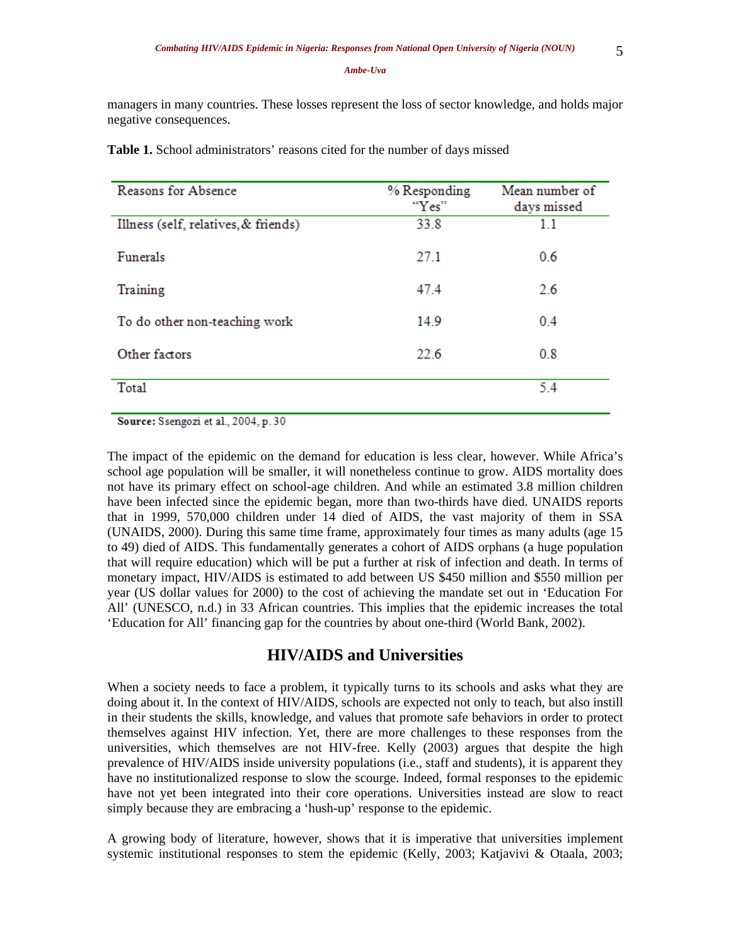managers in many countries. These losses represent the loss of sector knowledge, and holds major negative consequences.

| Reasons for Absence                  | % Responding<br>"Yes" | Mean number of<br>days missed |
|--------------------------------------|-----------------------|-------------------------------|
| Illness (self, relatives, & friends) | 33.8                  | 1.1                           |
| Funerals                             | 27.1                  | 0.6                           |
| Training                             | 47.4                  | 2.6                           |
| To do other non-teaching work        | 14.9                  | 0.4                           |
| Other factors                        | 22.6                  | 0.8                           |
| Total                                |                       | 5.4                           |

**Table 1.** School administrators' reasons cited for the number of days missed

Source: Ssengozi et al., 2004, p. 30

The impact of the epidemic on the demand for education is less clear, however. While Africa's school age population will be smaller, it will nonetheless continue to grow. AIDS mortality does not have its primary effect on school-age children. And while an estimated 3.8 million children have been infected since the epidemic began, more than two-thirds have died. UNAIDS reports that in 1999, 570,000 children under 14 died of AIDS, the vast majority of them in SSA (UNAIDS, 2000). During this same time frame, approximately four times as many adults (age 15 to 49) died of AIDS. This fundamentally generates a cohort of AIDS orphans (a huge population that will require education) which will be put a further at risk of infection and death. In terms of monetary impact, HIV/AIDS is estimated to add between US \$450 million and \$550 million per year (US dollar values for 2000) to the cost of achieving the mandate set out in 'Education For All' (UNESCO, n.d.) in 33 African countries. This implies that the epidemic increases the total 'Education for All' financing gap for the countries by about one-third (World Bank, 2002).

# **HIV/AIDS and Universities**

When a society needs to face a problem, it typically turns to its schools and asks what they are doing about it. In the context of HIV/AIDS, schools are expected not only to teach, but also instill in their students the skills, knowledge, and values that promote safe behaviors in order to protect themselves against HIV infection. Yet, there are more challenges to these responses from the universities, which themselves are not HIV-free. Kelly (2003) argues that despite the high prevalence of HIV/AIDS inside university populations (i.e., staff and students), it is apparent they have no institutionalized response to slow the scourge. Indeed, formal responses to the epidemic have not yet been integrated into their core operations. Universities instead are slow to react simply because they are embracing a 'hush-up' response to the epidemic.

A growing body of literature, however, shows that it is imperative that universities implement systemic institutional responses to stem the epidemic (Kelly, 2003; Katjavivi & Otaala, 2003;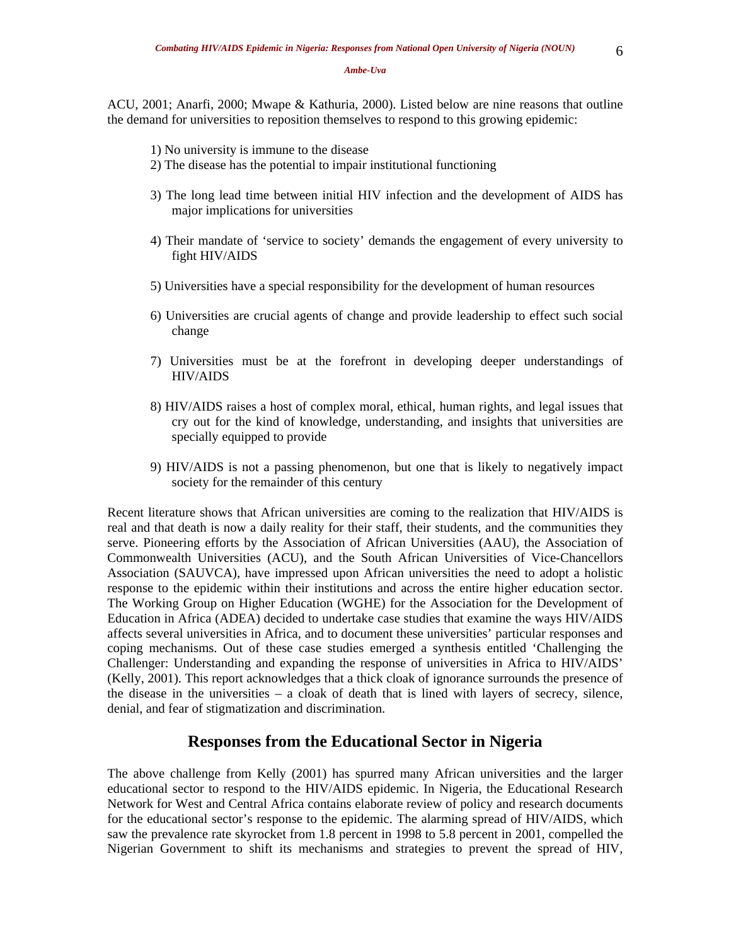ACU, 2001; Anarfi, 2000; Mwape & Kathuria, 2000). Listed below are nine reasons that outline the demand for universities to reposition themselves to respond to this growing epidemic:

- 1) No university is immune to the disease
- 2) The disease has the potential to impair institutional functioning
- 3) The long lead time between initial HIV infection and the development of AIDS has major implications for universities
- 4) Their mandate of 'service to society' demands the engagement of every university to fight HIV/AIDS
- 5) Universities have a special responsibility for the development of human resources
- 6) Universities are crucial agents of change and provide leadership to effect such social change
- 7) Universities must be at the forefront in developing deeper understandings of HIV/AIDS
- 8) HIV/AIDS raises a host of complex moral, ethical, human rights, and legal issues that cry out for the kind of knowledge, understanding, and insights that universities are specially equipped to provide
- 9) HIV/AIDS is not a passing phenomenon, but one that is likely to negatively impact society for the remainder of this century

Recent literature shows that African universities are coming to the realization that HIV/AIDS is real and that death is now a daily reality for their staff, their students, and the communities they serve. Pioneering efforts by the Association of African Universities (AAU), the Association of Commonwealth Universities (ACU), and the South African Universities of Vice-Chancellors Association (SAUVCA), have impressed upon African universities the need to adopt a holistic response to the epidemic within their institutions and across the entire higher education sector. The Working Group on Higher Education (WGHE) for the Association for the Development of Education in Africa (ADEA) decided to undertake case studies that examine the ways HIV/AIDS affects several universities in Africa, and to document these universities' particular responses and coping mechanisms. Out of these case studies emerged a synthesis entitled 'Challenging the Challenger: Understanding and expanding the response of universities in Africa to HIV/AIDS' (Kelly, 2001). This report acknowledges that a thick cloak of ignorance surrounds the presence of the disease in the universities – a cloak of death that is lined with layers of secrecy, silence, denial, and fear of stigmatization and discrimination.

### **Responses from the Educational Sector in Nigeria**

The above challenge from Kelly (2001) has spurred many African universities and the larger educational sector to respond to the HIV/AIDS epidemic. In Nigeria, the Educational Research Network for West and Central Africa contains elaborate review of policy and research documents for the educational sector's response to the epidemic. The alarming spread of HIV/AIDS, which saw the prevalence rate skyrocket from 1.8 percent in 1998 to 5.8 percent in 2001, compelled the Nigerian Government to shift its mechanisms and strategies to prevent the spread of HIV,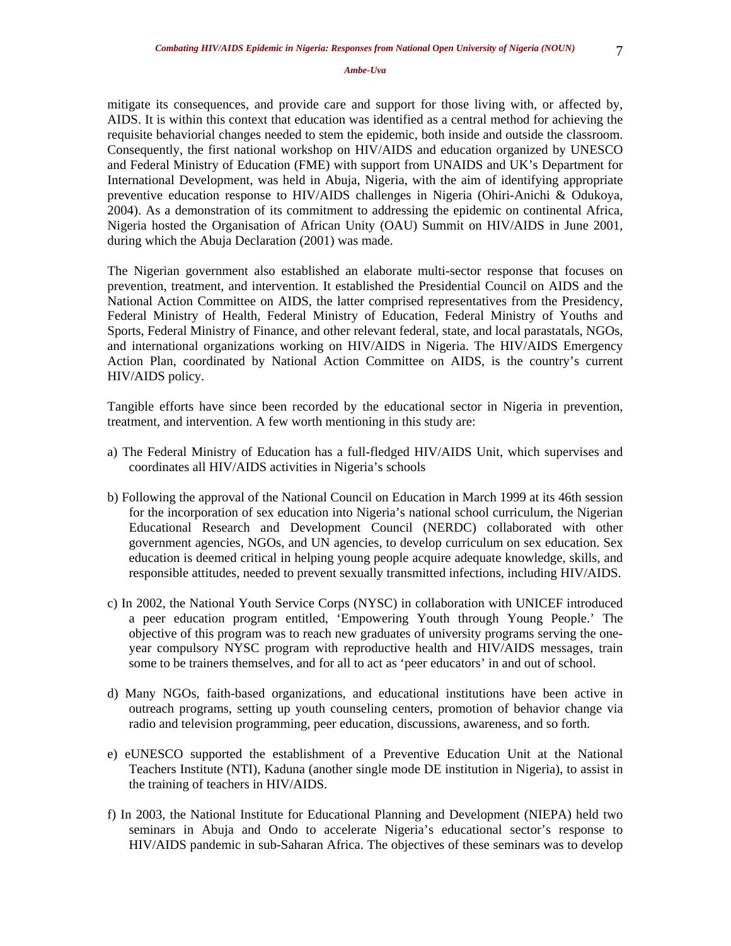mitigate its consequences, and provide care and support for those living with, or affected by, AIDS. It is within this context that education was identified as a central method for achieving the requisite behaviorial changes needed to stem the epidemic, both inside and outside the classroom. Consequently, the first national workshop on HIV/AIDS and education organized by UNESCO and Federal Ministry of Education (FME) with support from UNAIDS and UK's Department for International Development, was held in Abuja, Nigeria, with the aim of identifying appropriate preventive education response to HIV/AIDS challenges in Nigeria (Ohiri-Anichi & Odukoya, 2004). As a demonstration of its commitment to addressing the epidemic on continental Africa, Nigeria hosted the Organisation of African Unity (OAU) Summit on HIV/AIDS in June 2001, during which the Abuja Declaration (2001) was made.

The Nigerian government also established an elaborate multi-sector response that focuses on prevention, treatment, and intervention. It established the Presidential Council on AIDS and the National Action Committee on AIDS, the latter comprised representatives from the Presidency, Federal Ministry of Health, Federal Ministry of Education, Federal Ministry of Youths and Sports, Federal Ministry of Finance, and other relevant federal, state, and local parastatals, NGOs, and international organizations working on HIV/AIDS in Nigeria. The HIV/AIDS Emergency Action Plan, coordinated by National Action Committee on AIDS, is the country's current HIV/AIDS policy.

Tangible efforts have since been recorded by the educational sector in Nigeria in prevention, treatment, and intervention. A few worth mentioning in this study are:

- a) The Federal Ministry of Education has a full-fledged HIV/AIDS Unit, which supervises and coordinates all HIV/AIDS activities in Nigeria's schools
- b) Following the approval of the National Council on Education in March 1999 at its 46th session for the incorporation of sex education into Nigeria's national school curriculum, the Nigerian Educational Research and Development Council (NERDC) collaborated with other government agencies, NGOs, and UN agencies, to develop curriculum on sex education. Sex education is deemed critical in helping young people acquire adequate knowledge, skills, and responsible attitudes, needed to prevent sexually transmitted infections, including HIV/AIDS.
- c) In 2002, the National Youth Service Corps (NYSC) in collaboration with UNICEF introduced a peer education program entitled, 'Empowering Youth through Young People.' The objective of this program was to reach new graduates of university programs serving the oneyear compulsory NYSC program with reproductive health and HIV/AIDS messages, train some to be trainers themselves, and for all to act as 'peer educators' in and out of school.
- d) Many NGOs, faith-based organizations, and educational institutions have been active in outreach programs, setting up youth counseling centers, promotion of behavior change via radio and television programming, peer education, discussions, awareness, and so forth.
- e) eUNESCO supported the establishment of a Preventive Education Unit at the National Teachers Institute (NTI), Kaduna (another single mode DE institution in Nigeria), to assist in the training of teachers in HIV/AIDS.
- f) In 2003, the National Institute for Educational Planning and Development (NIEPA) held two seminars in Abuja and Ondo to accelerate Nigeria's educational sector's response to HIV/AIDS pandemic in sub-Saharan Africa. The objectives of these seminars was to develop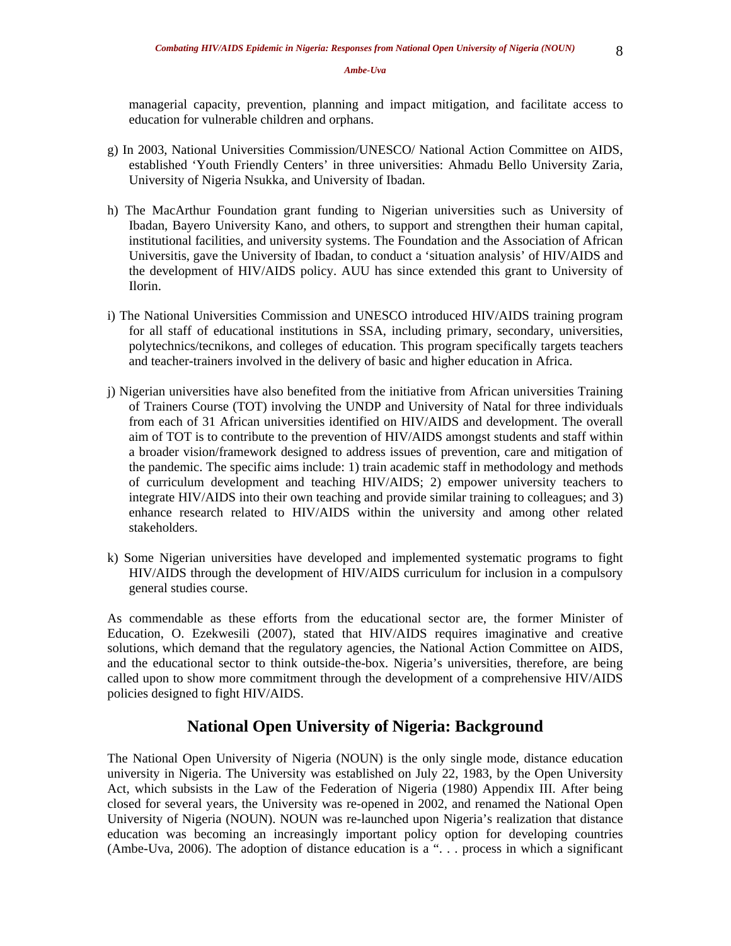managerial capacity, prevention, planning and impact mitigation, and facilitate access to education for vulnerable children and orphans.

- g) In 2003, National Universities Commission/UNESCO/ National Action Committee on AIDS, established 'Youth Friendly Centers' in three universities: Ahmadu Bello University Zaria, University of Nigeria Nsukka, and University of Ibadan.
- h) The MacArthur Foundation grant funding to Nigerian universities such as University of Ibadan, Bayero University Kano, and others, to support and strengthen their human capital, institutional facilities, and university systems. The Foundation and the Association of African Universitis, gave the University of Ibadan, to conduct a 'situation analysis' of HIV/AIDS and the development of HIV/AIDS policy. AUU has since extended this grant to University of Ilorin.
- i) The National Universities Commission and UNESCO introduced HIV/AIDS training program for all staff of educational institutions in SSA, including primary, secondary, universities, polytechnics/tecnikons, and colleges of education. This program specifically targets teachers and teacher-trainers involved in the delivery of basic and higher education in Africa.
- j) Nigerian universities have also benefited from the initiative from African universities Training of Trainers Course (TOT) involving the UNDP and University of Natal for three individuals from each of 31 African universities identified on HIV/AIDS and development. The overall aim of TOT is to contribute to the prevention of HIV/AIDS amongst students and staff within a broader vision/framework designed to address issues of prevention, care and mitigation of the pandemic. The specific aims include: 1) train academic staff in methodology and methods of curriculum development and teaching HIV/AIDS; 2) empower university teachers to integrate HIV/AIDS into their own teaching and provide similar training to colleagues; and 3) enhance research related to HIV/AIDS within the university and among other related stakeholders.
- k) Some Nigerian universities have developed and implemented systematic programs to fight HIV/AIDS through the development of HIV/AIDS curriculum for inclusion in a compulsory general studies course.

As commendable as these efforts from the educational sector are, the former Minister of Education, O. Ezekwesili (2007), stated that HIV/AIDS requires imaginative and creative solutions, which demand that the regulatory agencies, the National Action Committee on AIDS, and the educational sector to think outside-the-box. Nigeria's universities, therefore, are being called upon to show more commitment through the development of a comprehensive HIV/AIDS policies designed to fight HIV/AIDS.

### **National Open University of Nigeria: Background**

The National Open University of Nigeria (NOUN) is the only single mode, distance education university in Nigeria. The University was established on July 22, 1983, by the Open University Act, which subsists in the Law of the Federation of Nigeria (1980) Appendix III. After being closed for several years, the University was re-opened in 2002, and renamed the National Open University of Nigeria (NOUN). NOUN was re-launched upon Nigeria's realization that distance education was becoming an increasingly important policy option for developing countries (Ambe-Uva, 2006). The adoption of distance education is a ". . . process in which a significant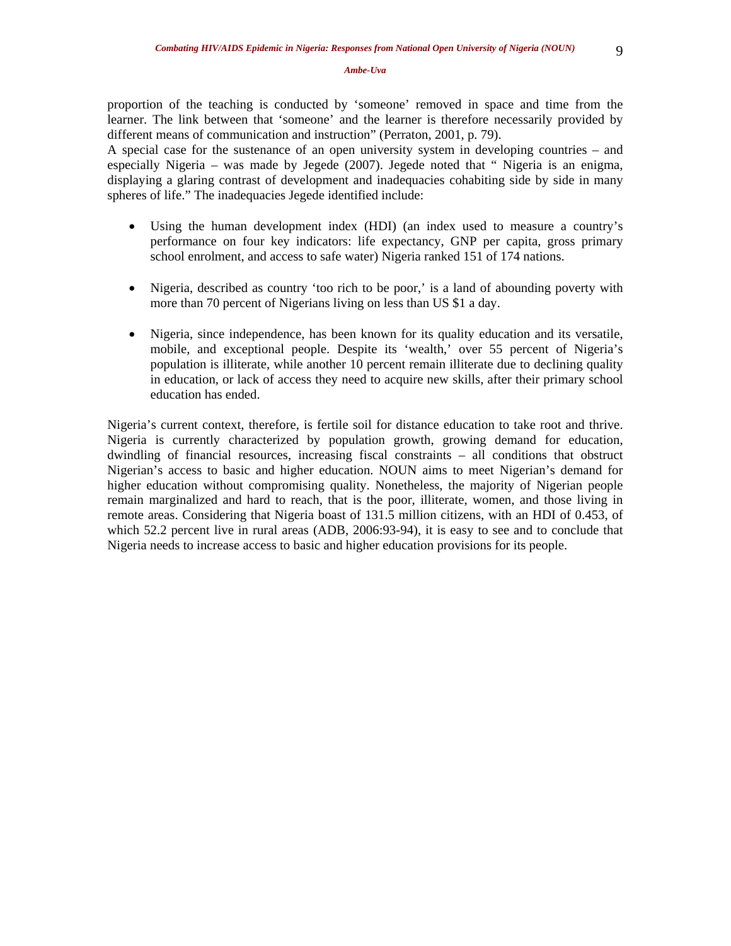proportion of the teaching is conducted by 'someone' removed in space and time from the learner. The link between that 'someone' and the learner is therefore necessarily provided by different means of communication and instruction" (Perraton, 2001, p. 79).

A special case for the sustenance of an open university system in developing countries – and especially Nigeria – was made by Jegede (2007). Jegede noted that " Nigeria is an enigma, displaying a glaring contrast of development and inadequacies cohabiting side by side in many spheres of life." The inadequacies Jegede identified include:

- Using the human development index (HDI) (an index used to measure a country's performance on four key indicators: life expectancy, GNP per capita, gross primary school enrolment, and access to safe water) Nigeria ranked 151 of 174 nations.
- Nigeria, described as country 'too rich to be poor,' is a land of abounding poverty with more than 70 percent of Nigerians living on less than US \$1 a day.
- Nigeria, since independence, has been known for its quality education and its versatile, mobile, and exceptional people. Despite its 'wealth,' over 55 percent of Nigeria's population is illiterate, while another 10 percent remain illiterate due to declining quality in education, or lack of access they need to acquire new skills, after their primary school education has ended.

Nigeria's current context, therefore, is fertile soil for distance education to take root and thrive. Nigeria is currently characterized by population growth, growing demand for education, dwindling of financial resources, increasing fiscal constraints – all conditions that obstruct Nigerian's access to basic and higher education. NOUN aims to meet Nigerian's demand for higher education without compromising quality. Nonetheless, the majority of Nigerian people remain marginalized and hard to reach, that is the poor, illiterate, women, and those living in remote areas. Considering that Nigeria boast of 131.5 million citizens, with an HDI of 0.453, of which 52.2 percent live in rural areas (ADB, 2006:93-94), it is easy to see and to conclude that Nigeria needs to increase access to basic and higher education provisions for its people.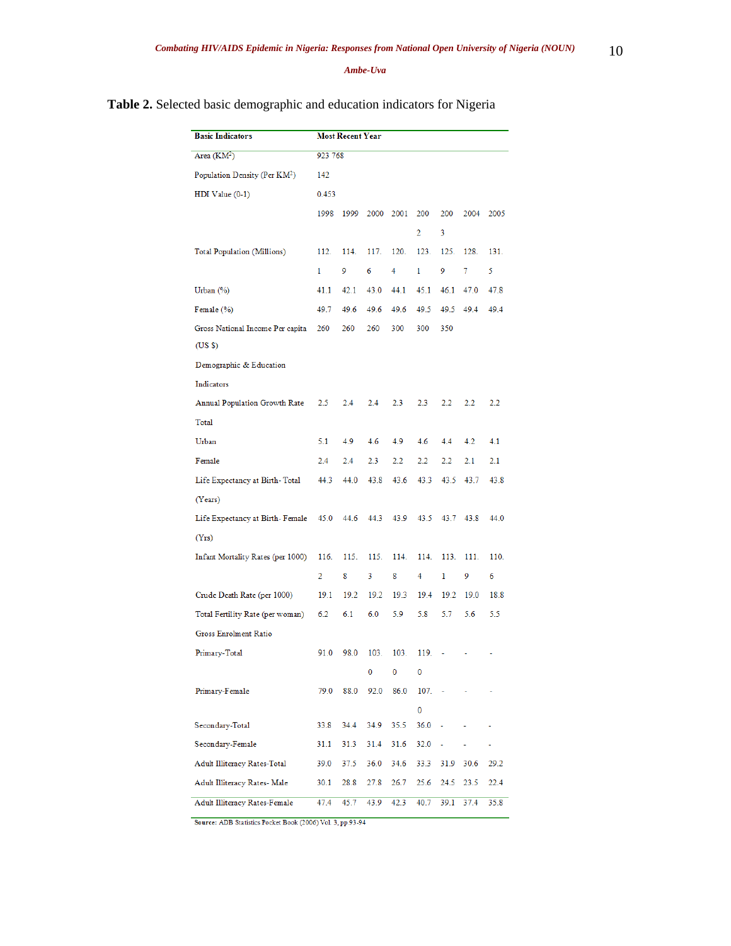### **Table 2.** Selected basic demographic and education indicators for Nigeria

| <b>Basic Indicators</b>                   |         | <b>Most Recent Year</b> |      |               |               |      |         |      |
|-------------------------------------------|---------|-------------------------|------|---------------|---------------|------|---------|------|
| Area $(KM2)$                              | 923 768 |                         |      |               |               |      |         |      |
| Population Density (Per KM <sup>2</sup> ) | 142     |                         |      |               |               |      |         |      |
| $HDI$ Value $(0-1)$                       | 0.453   |                         |      |               |               |      |         |      |
|                                           | 1998    | 1999                    | 2000 | 2001          | 200           | 200  | 2004    | 2005 |
|                                           |         |                         |      |               | 2             | 3    |         |      |
| <b>Total Population (Millions)</b>        | 112.    | 114.                    | 117. | 120.          | 123.          | 125. | 128.    | 131. |
|                                           | 1       | 9                       | 6    | 4             | 1             | 9    | 7       | 5    |
| Urban $(\%)$                              | 41.1    | 42.1                    | 43.0 | 44.1          | 45.1          | 46.1 | 47.0    | 47.8 |
| Female (%)                                | 49.7    | 49.6                    | 49.6 | 49.6          | 49.5          | 49.5 | 49.4    | 49.4 |
| Gross National Income Per capita          | 260     | 260                     | 260  | 300           | 300           | 350  |         |      |
| (USS)                                     |         |                         |      |               |               |      |         |      |
| Demographic & Education                   |         |                         |      |               |               |      |         |      |
| Indicators                                |         |                         |      |               |               |      |         |      |
| Annual Population Growth Rate             | 2.5     | 2.4                     | 2.4  | 2.3           | 2.3           | 2.2  | $2.2\,$ | 2.2  |
| Total                                     |         |                         |      |               |               |      |         |      |
| Urban                                     | 5.1     | 4.9                     | 4.6  | 4.9           | 4.6           | 4.4  | 4.2     | 4.1  |
| Female                                    | 2.4     | 2.4                     | 2.3  | $2.2^{\circ}$ | $2.2^{\circ}$ | 2.2  | 2.1     | 2.1  |
| Life Expectancy at Birth-Total            | 44.3    | 44.0                    | 43.8 | 43.6          | 43.3          | 43.5 | 43.7    | 43.8 |
| (Years)                                   |         |                         |      |               |               |      |         |      |
| Life Expectancy at Birth-Female           | 45.0    | 44.6                    | 44.3 | 43.9          | 43.5          | 43.7 | 43.8    | 44.0 |
| (Yrs)                                     |         |                         |      |               |               |      |         |      |
| Infant Mortality Rates (per 1000)         | 116.    | 115.                    | 115. | 114.          | 114.          | 113. | 111.    | 110. |
|                                           | 2       | 8                       | 3    | 8             | 4             | 1    | 9       | 6    |
| Crude Death Rate (per 1000)               | 19.1    | 19.2                    | 19.2 | 19.3          | 19.4          | 19.2 | 19.0    | 18.8 |
| Total Fertility Rate (per woman)          | 6.2     | 6.1                     | 6.0  | 5.9           | 5.8           | 5.7  | 5.6     | 5.5  |
| Gross Enrolment Ratio                     |         |                         |      |               |               |      |         |      |
| Primary-Total                             | 91.0    | 98.0                    | 103. | 103.          | 119.          |      |         |      |
|                                           |         |                         | 0    | 0             | $\mathbf 0$   |      |         |      |
| Primary-Female                            | 79.0    | 88.0                    | 92.0 | 86.0          | 107.          |      |         |      |
|                                           |         |                         |      |               | $\mathbf 0$   |      |         |      |
| Secondary-Total                           | 33.8    | 34.4                    | 34.9 | 35.5          | 36.0          | ä,   |         |      |
| Secondary-Female                          | 31.1    | 31.3                    | 31.4 | 31.6          | 32.0          |      |         |      |
| Adult Illiteracy Rates-Total              | 39.0    | 37.5                    | 36.0 | 34.6          | 33.3          | 31.9 | 30.6    | 29.2 |
| Adult Illiteracy Rates- Male              | 30.1    | 28.8                    | 27.8 | 26.7          | 25.6          | 24.5 | 23.5    | 22.4 |
| <b>Adult Illiteracy Rates-Female</b>      | 47.4    | 45.7                    | 43.9 | 42.3          | 40.7          | 39.1 | 37.4    | 35.8 |

Source: ADB Statistics Pocket Book (2006) Vol. 3, pp.93-94

10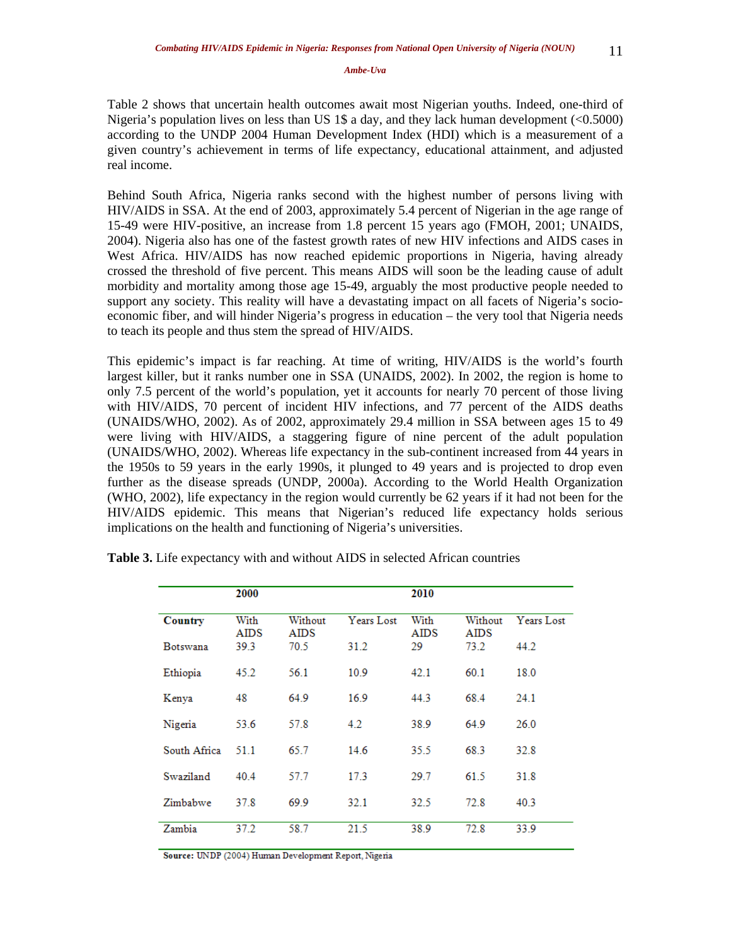Table 2 shows that uncertain health outcomes await most Nigerian youths. Indeed, one-third of Nigeria's population lives on less than US 1\$ a day, and they lack human development (<0.5000) according to the UNDP 2004 Human Development Index (HDI) which is a measurement of a given country's achievement in terms of life expectancy, educational attainment, and adjusted real income.

Behind South Africa, Nigeria ranks second with the highest number of persons living with HIV/AIDS in SSA. At the end of 2003, approximately 5.4 percent of Nigerian in the age range of 15-49 were HIV-positive, an increase from 1.8 percent 15 years ago (FMOH, 2001; UNAIDS, 2004). Nigeria also has one of the fastest growth rates of new HIV infections and AIDS cases in West Africa. HIV/AIDS has now reached epidemic proportions in Nigeria, having already crossed the threshold of five percent. This means AIDS will soon be the leading cause of adult morbidity and mortality among those age 15-49, arguably the most productive people needed to support any society. This reality will have a devastating impact on all facets of Nigeria's socioeconomic fiber, and will hinder Nigeria's progress in education – the very tool that Nigeria needs to teach its people and thus stem the spread of HIV/AIDS.

This epidemic's impact is far reaching. At time of writing, HIV/AIDS is the world's fourth largest killer, but it ranks number one in SSA (UNAIDS, 2002). In 2002, the region is home to only 7.5 percent of the world's population, yet it accounts for nearly 70 percent of those living with HIV/AIDS, 70 percent of incident HIV infections, and 77 percent of the AIDS deaths (UNAIDS/WHO, 2002). As of 2002, approximately 29.4 million in SSA between ages 15 to 49 were living with HIV/AIDS, a staggering figure of nine percent of the adult population (UNAIDS/WHO, 2002). Whereas life expectancy in the sub-continent increased from 44 years in the 1950s to 59 years in the early 1990s, it plunged to 49 years and is projected to drop even further as the disease spreads (UNDP, 2000a). According to the World Health Organization (WHO, 2002), life expectancy in the region would currently be 62 years if it had not been for the HIV/AIDS epidemic. This means that Nigerian's reduced life expectancy holds serious implications on the health and functioning of Nigeria's universities.

|                 | 2000         |                 |                   | 2010         |                 |                   |
|-----------------|--------------|-----------------|-------------------|--------------|-----------------|-------------------|
| Country         | With<br>AIDS | Without<br>AIDS | <b>Years Lost</b> | With<br>AIDS | Without<br>AIDS | <b>Years</b> Lost |
| <b>Botswana</b> | 39.3         | 70.5            | 31.2              | 29           | 73.2            | 44.2              |
| Ethiopia        | 45.2         | 56.1            | 10.9              | 42.1         | 60.1            | 18.0              |
| Kenya           | 48           | 64.9            | 16.9              | 44.3         | 68.4            | 24.1              |
| Nigeria         | 53.6         | 57.8            | 4.2               | 38.9         | 64.9            | 26.0              |
| South Africa    | 51.1         | 65.7            | 14.6              | 35.5         | 68.3            | 32.8              |
| Swaziland       | 40.4         | 57.7            | 17.3              | 29.7         | 61.5            | 31.8              |
| Zimbabwe        | 37.8         | 69.9            | 32.1              | 32.5         | 72.8            | 40.3              |
| Zambia          | 37.2         | 58.7            | 21.5              | 38.9         | 72.8            | 33.9              |

**Table 3.** Life expectancy with and without AIDS in selected African countries

Source: UNDP (2004) Human Development Report, Nigeria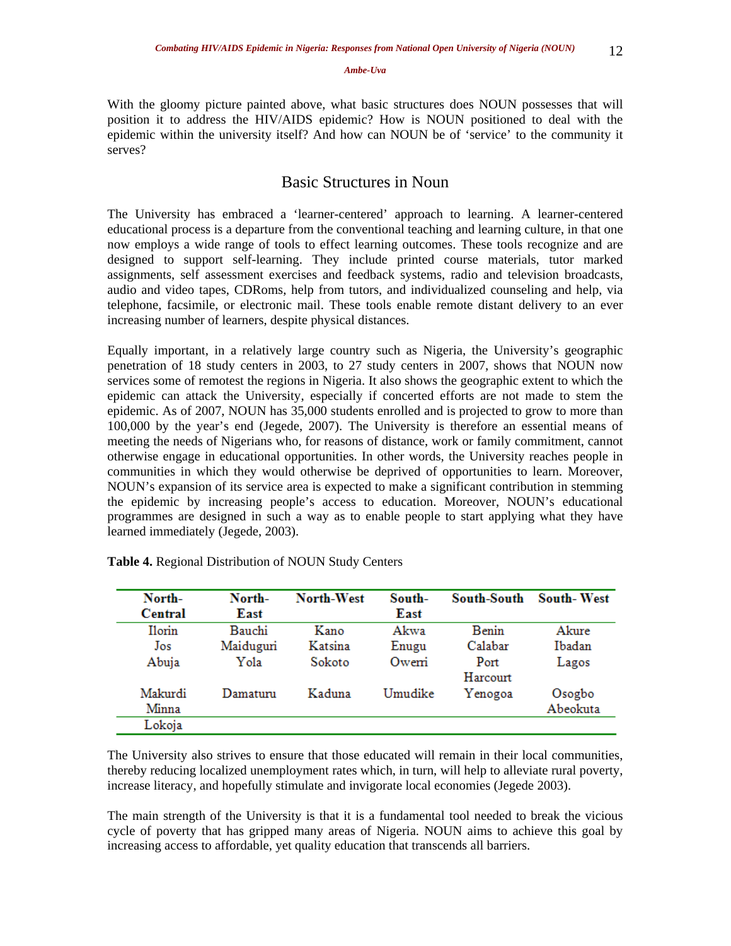With the gloomy picture painted above, what basic structures does NOUN possesses that will position it to address the HIV/AIDS epidemic? How is NOUN positioned to deal with the epidemic within the university itself? And how can NOUN be of 'service' to the community it serves?

### Basic Structures in Noun

The University has embraced a 'learner-centered' approach to learning. A learner-centered educational process is a departure from the conventional teaching and learning culture, in that one now employs a wide range of tools to effect learning outcomes. These tools recognize and are designed to support self-learning. They include printed course materials, tutor marked assignments, self assessment exercises and feedback systems, radio and television broadcasts, audio and video tapes, CDRoms, help from tutors, and individualized counseling and help, via telephone, facsimile, or electronic mail. These tools enable remote distant delivery to an ever increasing number of learners, despite physical distances.

Equally important, in a relatively large country such as Nigeria, the University's geographic penetration of 18 study centers in 2003, to 27 study centers in 2007, shows that NOUN now services some of remotest the regions in Nigeria. It also shows the geographic extent to which the epidemic can attack the University, especially if concerted efforts are not made to stem the epidemic. As of 2007, NOUN has 35,000 students enrolled and is projected to grow to more than 100,000 by the year's end (Jegede, 2007). The University is therefore an essential means of meeting the needs of Nigerians who, for reasons of distance, work or family commitment, cannot otherwise engage in educational opportunities. In other words, the University reaches people in communities in which they would otherwise be deprived of opportunities to learn. Moreover, NOUN's expansion of its service area is expected to make a significant contribution in stemming the epidemic by increasing people's access to education. Moreover, NOUN's educational programmes are designed in such a way as to enable people to start applying what they have learned immediately (Jegede, 2003).

| North-<br>Central | North-<br>East | <b>North-West</b> | South-<br>East | South-South      | South-West         |
|-------------------|----------------|-------------------|----------------|------------------|--------------------|
| <b>Ilorin</b>     | Bauchi         | Kano              | Akwa           | Benin            | Akure              |
| Jos               | Maiduguri      | Katsina           | Enugu          | Calabar          | Ibadan             |
| Abuja             | Yola           | Sokoto            | Owerri         | Port<br>Harcourt | Lagos              |
| Makurdi<br>Minna  | Damaturu       | Kaduna            | Umudike        | Yenogoa          | Osogbo<br>Abeokuta |
| Lokoja            |                |                   |                |                  |                    |

**Table 4.** Regional Distribution of NOUN Study Centers

The University also strives to ensure that those educated will remain in their local communities, thereby reducing localized unemployment rates which, in turn, will help to alleviate rural poverty, increase literacy, and hopefully stimulate and invigorate local economies (Jegede 2003).

The main strength of the University is that it is a fundamental tool needed to break the vicious cycle of poverty that has gripped many areas of Nigeria. NOUN aims to achieve this goal by increasing access to affordable, yet quality education that transcends all barriers.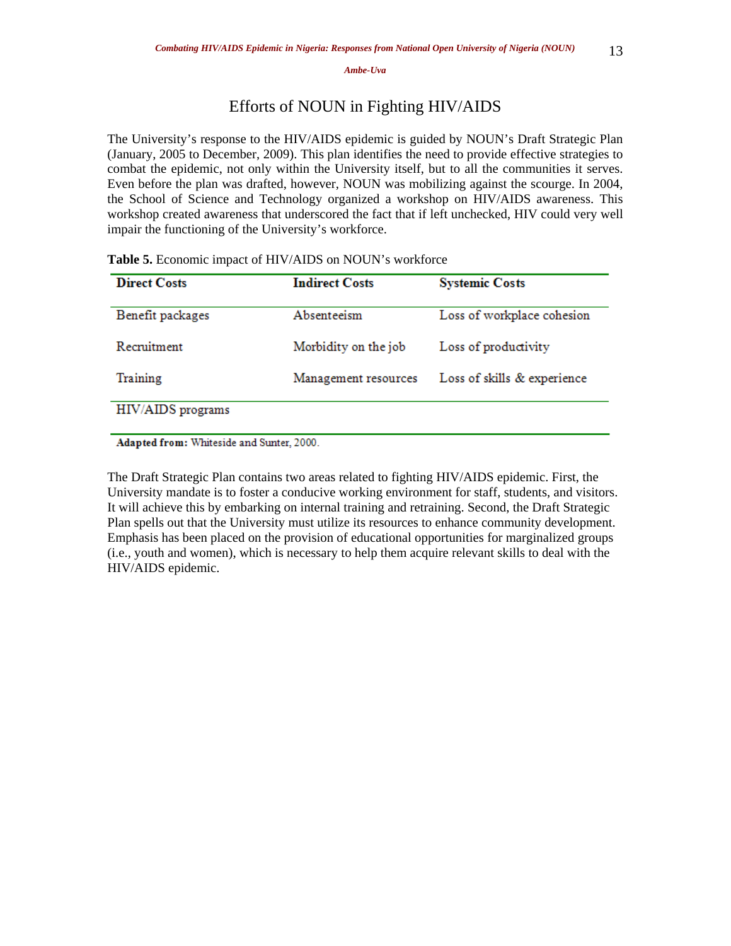# Efforts of NOUN in Fighting HIV/AIDS

The University's response to the HIV/AIDS epidemic is guided by NOUN's Draft Strategic Plan (January, 2005 to December, 2009). This plan identifies the need to provide effective strategies to combat the epidemic, not only within the University itself, but to all the communities it serves. Even before the plan was drafted, however, NOUN was mobilizing against the scourge. In 2004, the School of Science and Technology organized a workshop on HIV/AIDS awareness. This workshop created awareness that underscored the fact that if left unchecked, HIV could very well impair the functioning of the University's workforce.

| <b>Direct Costs</b> | <b>Indirect Costs</b> | <b>Systemic Costs</b>       |
|---------------------|-----------------------|-----------------------------|
| Benefit packages    | Absenteeism           | Loss of workplace cohesion  |
| Recruitment         | Morbidity on the job  | Loss of productivity        |
| Training            | Management resources  | Loss of skills & experience |
| HIV/AIDS programs   |                       |                             |

|  |  |  |  |  |  |  |  | <b>Table 5.</b> Economic impact of HIV/AIDS on NOUN's workforce |  |
|--|--|--|--|--|--|--|--|-----------------------------------------------------------------|--|
|  |  |  |  |  |  |  |  |                                                                 |  |

Adapted from: Whiteside and Sunter, 2000.

The Draft Strategic Plan contains two areas related to fighting HIV/AIDS epidemic. First, the University mandate is to foster a conducive working environment for staff, students, and visitors. It will achieve this by embarking on internal training and retraining. Second, the Draft Strategic Plan spells out that the University must utilize its resources to enhance community development. Emphasis has been placed on the provision of educational opportunities for marginalized groups (i.e., youth and women), which is necessary to help them acquire relevant skills to deal with the HIV/AIDS epidemic.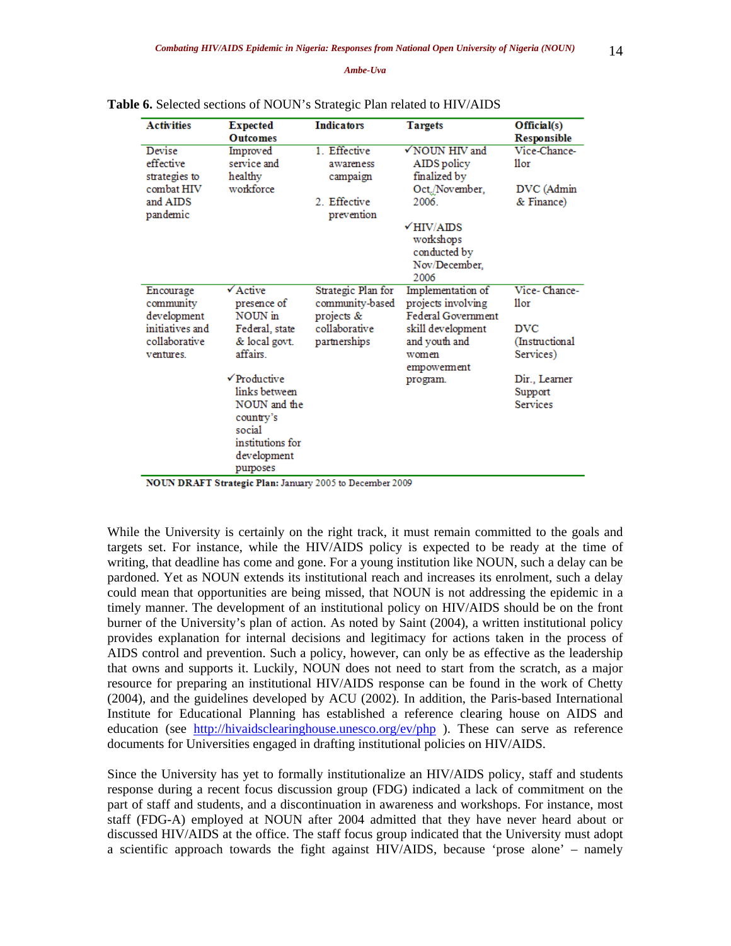14

#### *Ambe-Uva*

| <b>Activities</b>                             | <b>Expected</b><br><b>Outcomes</b>                                                                                                   | <b>Indicators</b>                                   | <b>Targets</b>                                                                 | Official(s)<br>Responsible                |
|-----------------------------------------------|--------------------------------------------------------------------------------------------------------------------------------------|-----------------------------------------------------|--------------------------------------------------------------------------------|-------------------------------------------|
| Devise<br>effective<br>strategies to          | Improved<br>service and<br>healthy                                                                                                   | 1. Effective<br>awareness<br>campaign               | V NOUN HIV and<br>AIDS policy<br>finalized by                                  | Vice-Chance-<br>11 <sub>or</sub>          |
| combat HIV<br>and AIDS<br>pandemic            | workforce                                                                                                                            | 2. Effective<br>prevention                          | Oct./November,<br>2006.                                                        | DVC (Admin<br>& Finance)                  |
|                                               |                                                                                                                                      |                                                     | $\sqrt{\text{HIV/AIDS}}$<br>workshops<br>conducted by<br>Nov/December.<br>2006 |                                           |
| Encourage<br>community<br>development         | $\checkmark$ Active<br>presence of<br>NOUN in                                                                                        | Strategic Plan for<br>community-based<br>projects & | Implementation of<br>projects involving<br>Federal Government                  | Vice-Chance-<br>11 <sub>or</sub>          |
| initiatives and<br>collaborative<br>ventures. | Federal, state<br>& local govt.<br>affairs                                                                                           | collaborative<br>partnerships                       | skill development<br>and youth and<br>women<br>empowerment                     | <b>DVC</b><br>(Instructional<br>Services) |
|                                               | $\sqrt{P_{\text{roductive}}}$<br>links between<br>NOUN and the<br>country's<br>social<br>institutions for<br>development<br>purposes |                                                     | program.                                                                       | Dir Learner<br>Support<br><b>Services</b> |

**Table 6.** Selected sections of NOUN's Strategic Plan related to HIV/AIDS

NOUN DRAFT Strategic Plan: January 2005 to December 2009

While the University is certainly on the right track, it must remain committed to the goals and targets set. For instance, while the HIV/AIDS policy is expected to be ready at the time of writing, that deadline has come and gone. For a young institution like NOUN, such a delay can be pardoned. Yet as NOUN extends its institutional reach and increases its enrolment, such a delay could mean that opportunities are being missed, that NOUN is not addressing the epidemic in a timely manner. The development of an institutional policy on HIV/AIDS should be on the front burner of the University's plan of action. As noted by Saint (2004), a written institutional policy provides explanation for internal decisions and legitimacy for actions taken in the process of AIDS control and prevention. Such a policy, however, can only be as effective as the leadership that owns and supports it. Luckily, NOUN does not need to start from the scratch, as a major resource for preparing an institutional HIV/AIDS response can be found in the work of Chetty (2004), and the guidelines developed by ACU (2002). In addition, the Paris-based International Institute for Educational Planning has established a reference clearing house on AIDS and education (see <http://hivaidsclearinghouse.unesco.org/ev/php>). These can serve as reference documents for Universities engaged in drafting institutional policies on HIV/AIDS.

Since the University has yet to formally institutionalize an HIV/AIDS policy, staff and students response during a recent focus discussion group (FDG) indicated a lack of commitment on the part of staff and students, and a discontinuation in awareness and workshops. For instance, most staff (FDG-A) employed at NOUN after 2004 admitted that they have never heard about or discussed HIV/AIDS at the office. The staff focus group indicated that the University must adopt a scientific approach towards the fight against HIV/AIDS, because 'prose alone' – namely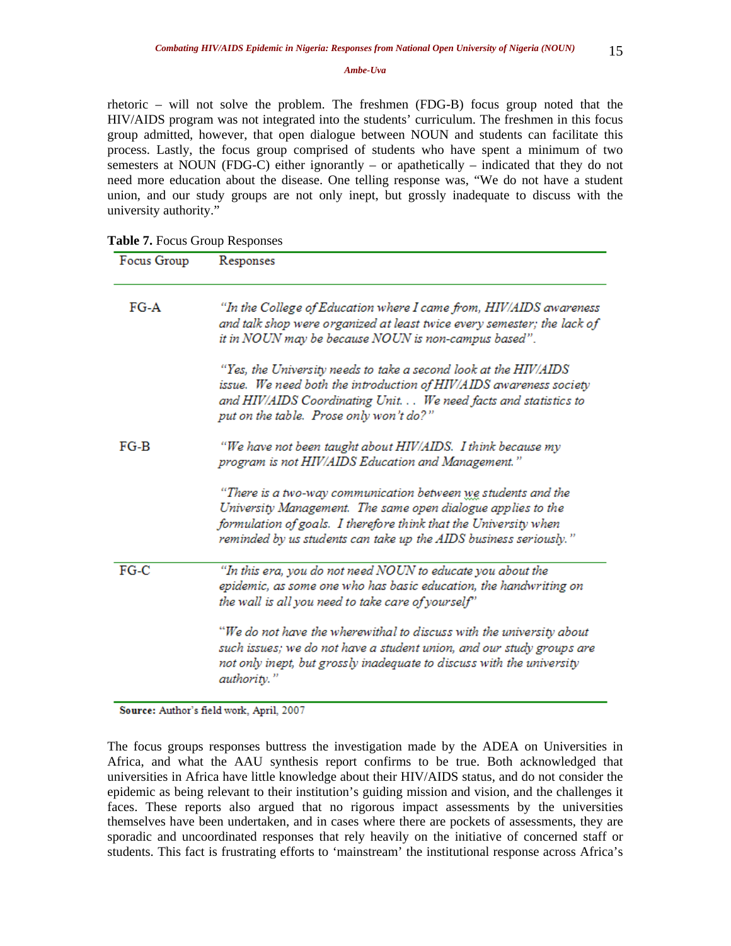rhetoric – will not solve the problem. The freshmen (FDG-B) focus group noted that the HIV/AIDS program was not integrated into the students' curriculum. The freshmen in this focus group admitted, however, that open dialogue between NOUN and students can facilitate this process. Lastly, the focus group comprised of students who have spent a minimum of two semesters at NOUN (FDG-C) either ignorantly – or apathetically – indicated that they do not need more education about the disease. One telling response was, "We do not have a student union, and our study groups are not only inept, but grossly inadequate to discuss with the university authority."

**Table 7.** Focus Group Responses

| Focus Group | Responses                                                                                                                                                                                                                                                              |
|-------------|------------------------------------------------------------------------------------------------------------------------------------------------------------------------------------------------------------------------------------------------------------------------|
| $FG-A$      | "In the College of Education where I came from, HIV/AIDS awareness<br>and talk shop were organized at least twice every semester; the lack of<br>it in NOUN may be because NOUN is non-campus based".                                                                  |
|             | "Yes, the University needs to take a second look at the HIV/AIDS<br>issue. We need both the introduction of HIV/AIDS awareness society<br>and HIV/AIDS Coordinating Unit. We need facts and statistics to<br>put on the table. Prose only won't do?"                   |
| $FG-B$      | "We have not been taught about HIV/AIDS. I think because my<br>program is not HIV/AIDS Education and Management."                                                                                                                                                      |
|             | "There is a two-way communication between we students and the<br>University Management. The same open dialogue applies to the<br>formulation of goals. I therefore think that the University when<br>reminded by us students can take up the AIDS business seriously." |
| $FG-C$      | "In this era, you do not need NOUN to educate you about the<br>epidemic, as some one who has basic education, the handwriting on<br>the wall is all you need to take care of yourself"                                                                                 |
|             | "We do not have the wherewithal to discuss with the university about<br>such issues; we do not have a student union, and our study groups are<br>not only inept, but grossly inadequate to discuss with the university<br>authority."                                  |

Source: Author's field work, April, 2007

The focus groups responses buttress the investigation made by the ADEA on Universities in Africa, and what the AAU synthesis report confirms to be true. Both acknowledged that universities in Africa have little knowledge about their HIV/AIDS status, and do not consider the epidemic as being relevant to their institution's guiding mission and vision, and the challenges it faces. These reports also argued that no rigorous impact assessments by the universities themselves have been undertaken, and in cases where there are pockets of assessments, they are sporadic and uncoordinated responses that rely heavily on the initiative of concerned staff or students. This fact is frustrating efforts to 'mainstream' the institutional response across Africa's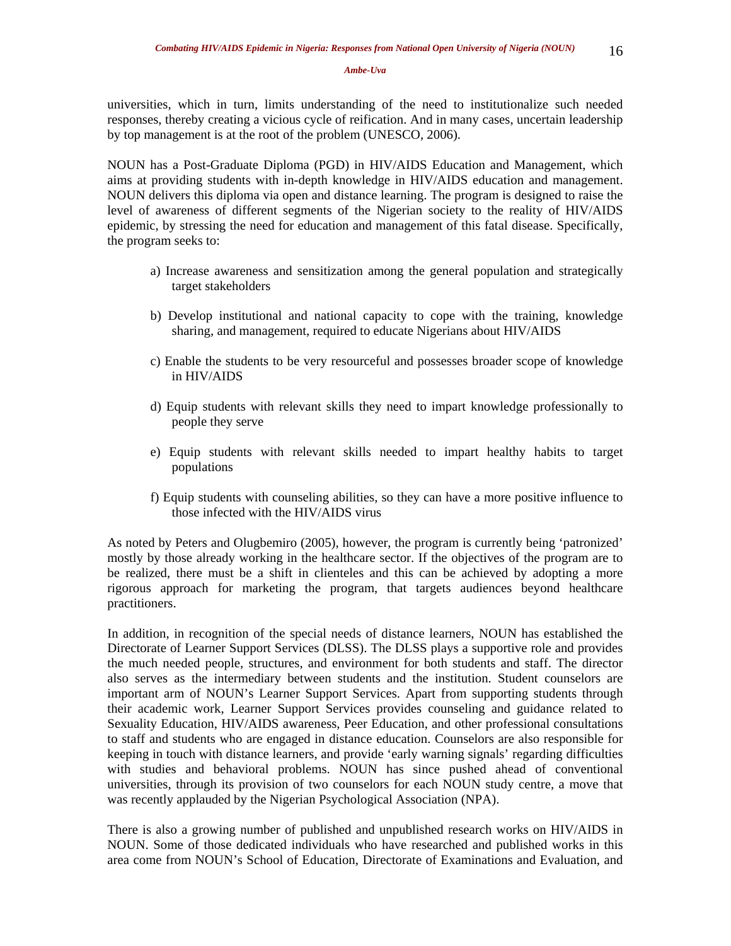universities, which in turn, limits understanding of the need to institutionalize such needed responses, thereby creating a vicious cycle of reification. And in many cases, uncertain leadership by top management is at the root of the problem (UNESCO, 2006).

NOUN has a Post-Graduate Diploma (PGD) in HIV/AIDS Education and Management, which aims at providing students with in-depth knowledge in HIV/AIDS education and management. NOUN delivers this diploma via open and distance learning. The program is designed to raise the level of awareness of different segments of the Nigerian society to the reality of HIV/AIDS epidemic, by stressing the need for education and management of this fatal disease. Specifically, the program seeks to:

- a) Increase awareness and sensitization among the general population and strategically target stakeholders
- b) Develop institutional and national capacity to cope with the training, knowledge sharing, and management, required to educate Nigerians about HIV/AIDS
- c) Enable the students to be very resourceful and possesses broader scope of knowledge in HIV/AIDS
- d) Equip students with relevant skills they need to impart knowledge professionally to people they serve
- e) Equip students with relevant skills needed to impart healthy habits to target populations
- f) Equip students with counseling abilities, so they can have a more positive influence to those infected with the HIV/AIDS virus

As noted by Peters and Olugbemiro (2005), however, the program is currently being 'patronized' mostly by those already working in the healthcare sector. If the objectives of the program are to be realized, there must be a shift in clienteles and this can be achieved by adopting a more rigorous approach for marketing the program, that targets audiences beyond healthcare practitioners.

In addition, in recognition of the special needs of distance learners, NOUN has established the Directorate of Learner Support Services (DLSS). The DLSS plays a supportive role and provides the much needed people, structures, and environment for both students and staff. The director also serves as the intermediary between students and the institution. Student counselors are important arm of NOUN's Learner Support Services. Apart from supporting students through their academic work, Learner Support Services provides counseling and guidance related to Sexuality Education, HIV/AIDS awareness, Peer Education, and other professional consultations to staff and students who are engaged in distance education. Counselors are also responsible for keeping in touch with distance learners, and provide 'early warning signals' regarding difficulties with studies and behavioral problems. NOUN has since pushed ahead of conventional universities, through its provision of two counselors for each NOUN study centre, a move that was recently applauded by the Nigerian Psychological Association (NPA).

There is also a growing number of published and unpublished research works on HIV/AIDS in NOUN. Some of those dedicated individuals who have researched and published works in this area come from NOUN's School of Education, Directorate of Examinations and Evaluation, and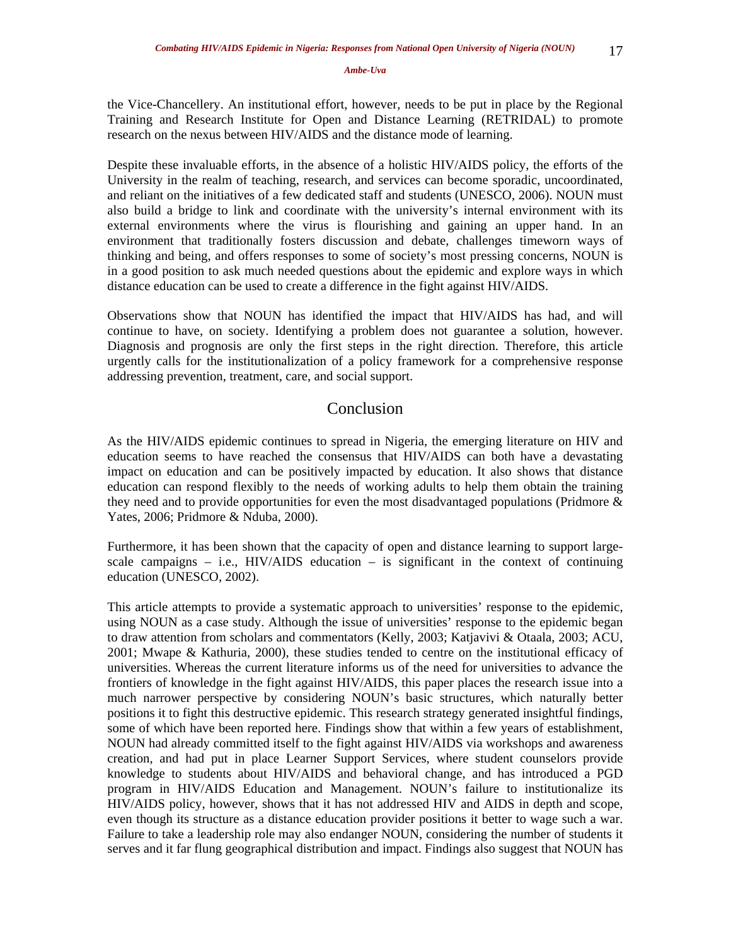the Vice-Chancellery. An institutional effort, however, needs to be put in place by the Regional Training and Research Institute for Open and Distance Learning (RETRIDAL) to promote research on the nexus between HIV/AIDS and the distance mode of learning.

Despite these invaluable efforts, in the absence of a holistic HIV/AIDS policy, the efforts of the University in the realm of teaching, research, and services can become sporadic, uncoordinated, and reliant on the initiatives of a few dedicated staff and students (UNESCO, 2006). NOUN must also build a bridge to link and coordinate with the university's internal environment with its external environments where the virus is flourishing and gaining an upper hand. In an environment that traditionally fosters discussion and debate, challenges timeworn ways of thinking and being, and offers responses to some of society's most pressing concerns, NOUN is in a good position to ask much needed questions about the epidemic and explore ways in which distance education can be used to create a difference in the fight against HIV/AIDS.

Observations show that NOUN has identified the impact that HIV/AIDS has had, and will continue to have, on society. Identifying a problem does not guarantee a solution, however. Diagnosis and prognosis are only the first steps in the right direction. Therefore, this article urgently calls for the institutionalization of a policy framework for a comprehensive response addressing prevention, treatment, care, and social support.

### Conclusion

As the HIV/AIDS epidemic continues to spread in Nigeria, the emerging literature on HIV and education seems to have reached the consensus that HIV/AIDS can both have a devastating impact on education and can be positively impacted by education. It also shows that distance education can respond flexibly to the needs of working adults to help them obtain the training they need and to provide opportunities for even the most disadvantaged populations (Pridmore  $\&$ Yates, 2006; Pridmore & Nduba, 2000).

Furthermore, it has been shown that the capacity of open and distance learning to support largescale campaigns  $-$  i.e., HIV/AIDS education  $-$  is significant in the context of continuing education (UNESCO, 2002).

This article attempts to provide a systematic approach to universities' response to the epidemic, using NOUN as a case study. Although the issue of universities' response to the epidemic began to draw attention from scholars and commentators (Kelly, 2003; Katjavivi & Otaala, 2003; ACU, 2001; Mwape & Kathuria, 2000), these studies tended to centre on the institutional efficacy of universities. Whereas the current literature informs us of the need for universities to advance the frontiers of knowledge in the fight against HIV/AIDS, this paper places the research issue into a much narrower perspective by considering NOUN's basic structures, which naturally better positions it to fight this destructive epidemic. This research strategy generated insightful findings, some of which have been reported here. Findings show that within a few years of establishment, NOUN had already committed itself to the fight against HIV/AIDS via workshops and awareness creation, and had put in place Learner Support Services, where student counselors provide knowledge to students about HIV/AIDS and behavioral change, and has introduced a PGD program in HIV/AIDS Education and Management. NOUN's failure to institutionalize its HIV/AIDS policy, however, shows that it has not addressed HIV and AIDS in depth and scope, even though its structure as a distance education provider positions it better to wage such a war. Failure to take a leadership role may also endanger NOUN, considering the number of students it serves and it far flung geographical distribution and impact. Findings also suggest that NOUN has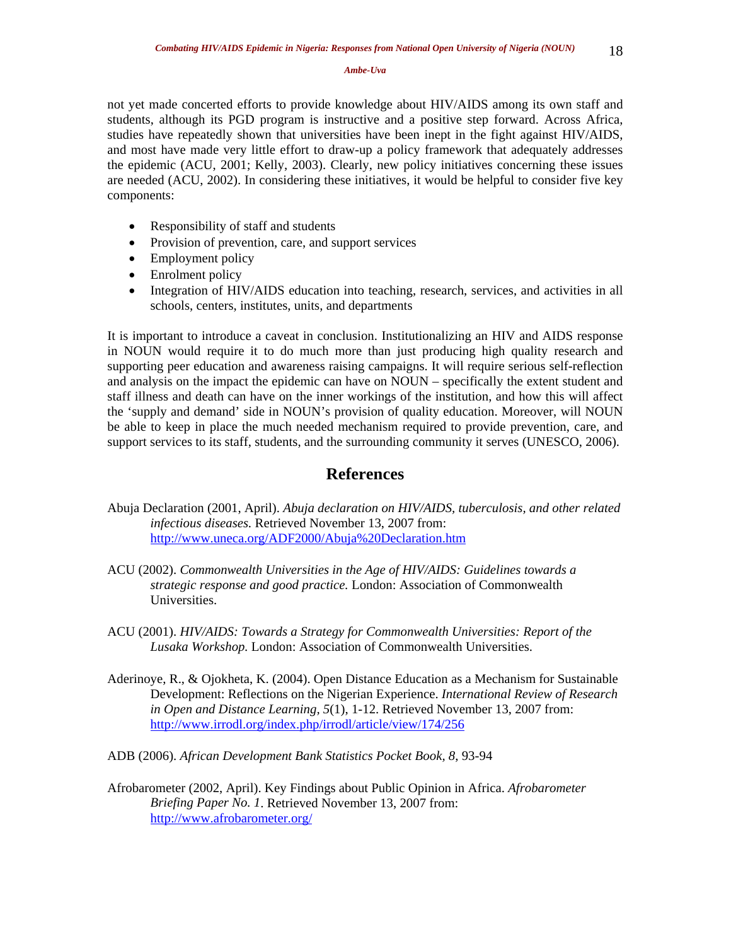not yet made concerted efforts to provide knowledge about HIV/AIDS among its own staff and students, although its PGD program is instructive and a positive step forward. Across Africa, studies have repeatedly shown that universities have been inept in the fight against HIV/AIDS, and most have made very little effort to draw-up a policy framework that adequately addresses the epidemic (ACU, 2001; Kelly, 2003). Clearly, new policy initiatives concerning these issues are needed (ACU, 2002). In considering these initiatives, it would be helpful to consider five key components:

- Responsibility of staff and students
- Provision of prevention, care, and support services
- Employment policy
- Enrolment policy
- Integration of HIV/AIDS education into teaching, research, services, and activities in all schools, centers, institutes, units, and departments

It is important to introduce a caveat in conclusion. Institutionalizing an HIV and AIDS response in NOUN would require it to do much more than just producing high quality research and supporting peer education and awareness raising campaigns. It will require serious self-reflection and analysis on the impact the epidemic can have on NOUN – specifically the extent student and staff illness and death can have on the inner workings of the institution, and how this will affect the 'supply and demand' side in NOUN's provision of quality education. Moreover, will NOUN be able to keep in place the much needed mechanism required to provide prevention, care, and support services to its staff, students, and the surrounding community it serves (UNESCO, 2006).

### **References**

- Abuja Declaration (2001, April). *Abuja declaration on HIV/AIDS, tuberculosis, and other related infectious diseases.* Retrieved November 13, 2007 from: <http://www.uneca.org/ADF2000/Abuja%20Declaration.htm>
- ACU (2002). *Commonwealth Universities in the Age of HIV/AIDS: Guidelines towards a strategic response and good practice.* London: Association of Commonwealth Universities.
- ACU (2001). *HIV/AIDS: Towards a Strategy for Commonwealth Universities: Report of the Lusaka Workshop.* London: Association of Commonwealth Universities.
- Aderinoye, R., & Ojokheta, K. (2004). Open Distance Education as a Mechanism for Sustainable Development: Reflections on the Nigerian Experience. *International Review of Research in Open and Distance Learning, 5*(1), 1-12. Retrieved November 13, 2007 from: <http://www.irrodl.org/index.php/irrodl/article/view/174/256>
- ADB (2006). *African Development Bank Statistics Pocket Book, 8*, 93-94
- Afrobarometer (2002, April). Key Findings about Public Opinion in Africa. *Afrobarometer Briefing Paper No. 1*. Retrieved November 13, 2007 from: <http://www.afrobarometer.org/>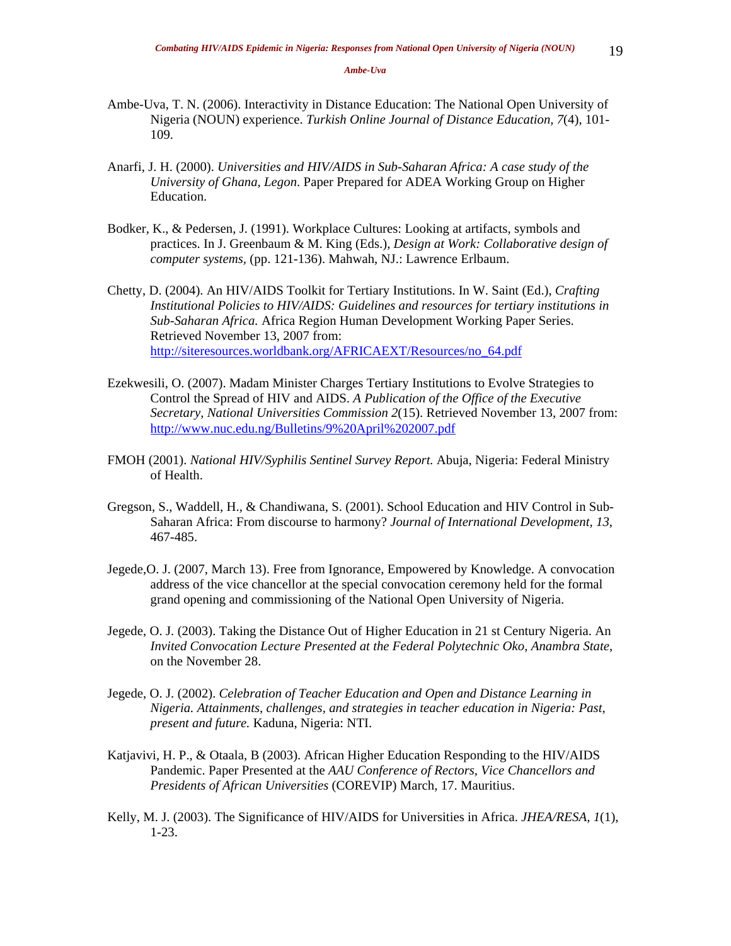- Ambe-Uva, T. N. (2006). Interactivity in Distance Education: The National Open University of Nigeria (NOUN) experience. *Turkish Online Journal of Distance Education, 7*(4), 101- 109.
- Anarfi, J. H. (2000). *Universities and HIV/AIDS in Sub-Saharan Africa: A case study of the University of Ghana, Legon*. Paper Prepared for ADEA Working Group on Higher Education.
- Bodker, K., & Pedersen, J. (1991). Workplace Cultures: Looking at artifacts, symbols and practices. In J. Greenbaum & M. King (Eds.), *Design at Work: Collaborative design of computer systems,* (pp. 121-136). Mahwah, NJ.: Lawrence Erlbaum.
- Chetty, D. (2004). An HIV/AIDS Toolkit for Tertiary Institutions. In W. Saint (Ed.), *Crafting Institutional Policies to HIV/AIDS: Guidelines and resources for tertiary institutions in Sub-Saharan Africa.* Africa Region Human Development Working Paper Series. Retrieved November 13, 2007 from: [http://siteresources.worldbank.org/AFRICAEXT/Resources/no\\_64.pdf](http://siteresources.worldbank.org/AFRICAEXT/Resources/no_64.pdf)
- Ezekwesili, O. (2007). Madam Minister Charges Tertiary Institutions to Evolve Strategies to Control the Spread of HIV and AIDS. *A Publication of the Office of the Executive Secretary, National Universities Commission 2*(15). Retrieved November 13, 2007 from: <http://www.nuc.edu.ng/Bulletins/9%20April%202007.pdf>
- FMOH (2001). *National HIV/Syphilis Sentinel Survey Report.* Abuja, Nigeria: Federal Ministry of Health.
- Gregson, S., Waddell, H., & Chandiwana, S. (2001). School Education and HIV Control in Sub-Saharan Africa: From discourse to harmony? *Journal of International Development, 13*, 467-485.
- Jegede,O. J. (2007, March 13). Free from Ignorance, Empowered by Knowledge. A convocation address of the vice chancellor at the special convocation ceremony held for the formal grand opening and commissioning of the National Open University of Nigeria.
- Jegede, O. J. (2003). Taking the Distance Out of Higher Education in 21 st Century Nigeria. An *Invited Convocation Lecture Presented at the Federal Polytechnic Oko, Anambra State*, on the November 28.
- Jegede, O. J. (2002). *Celebration of Teacher Education and Open and Distance Learning in Nigeria. Attainments, challenges, and strategies in teacher education in Nigeria: Past, present and future.* Kaduna, Nigeria: NTI.
- Katjavivi, H. P., & Otaala, B (2003). African Higher Education Responding to the HIV/AIDS Pandemic. Paper Presented at the *AAU Conference of Rectors, Vice Chancellors and Presidents of African Universities* (COREVIP) March, 17. Mauritius.
- Kelly, M. J. (2003). The Significance of HIV/AIDS for Universities in Africa. *JHEA/RESA, 1*(1), 1-23.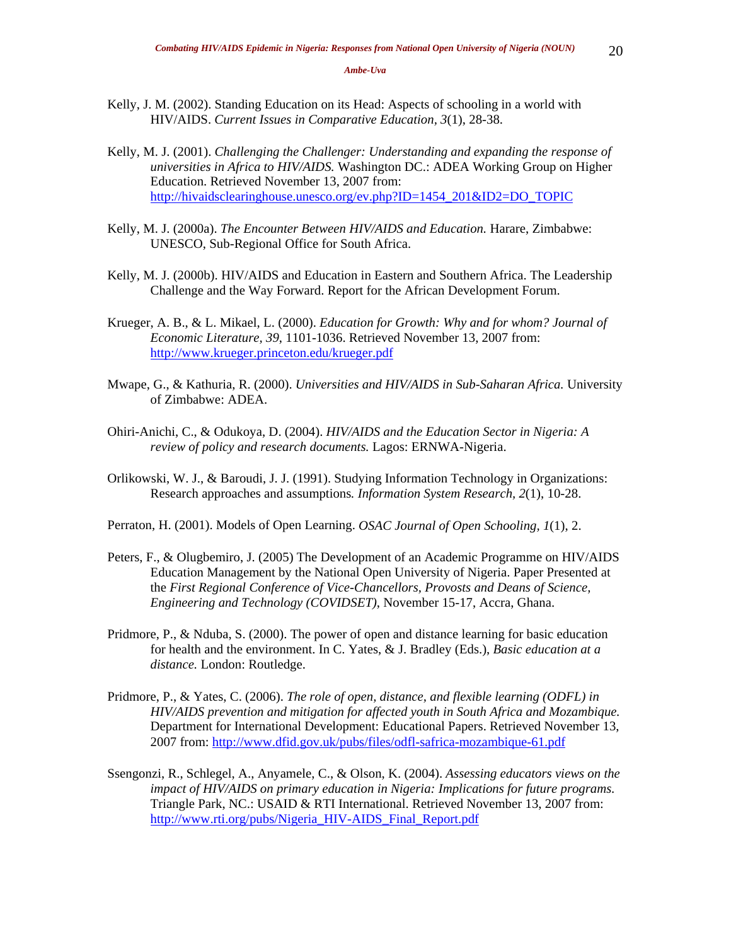- Kelly, J. M. (2002). Standing Education on its Head: Aspects of schooling in a world with HIV/AIDS. *Current Issues in Comparative Education, 3*(1), 28-38.
- Kelly, M. J. (2001). *Challenging the Challenger: Understanding and expanding the response of universities in Africa to HIV/AIDS.* Washington DC.: ADEA Working Group on Higher Education. Retrieved November 13, 2007 from: [http://hivaidsclearinghouse.unesco.org/ev.php?ID=1454\\_201&ID2=DO\\_TOPIC](http://hivaidsclearinghouse.unesco.org/ev.php?ID=1454_201&ID2=DO_TOPIC)
- Kelly, M. J. (2000a). *The Encounter Between HIV/AIDS and Education.* Harare, Zimbabwe: UNESCO, Sub-Regional Office for South Africa.
- Kelly, M. J. (2000b). HIV/AIDS and Education in Eastern and Southern Africa. The Leadership Challenge and the Way Forward. Report for the African Development Forum.
- Krueger, A. B., & L. Mikael, L. (2000). *Education for Growth: Why and for whom? Journal of Economic Literature, 39*, 1101-1036. Retrieved November 13, 2007 from: <http://www.krueger.princeton.edu/krueger.pdf>
- Mwape, G., & Kathuria, R. (2000). *Universities and HIV/AIDS in Sub-Saharan Africa.* University of Zimbabwe: ADEA.
- Ohiri-Anichi, C., & Odukoya, D. (2004). *HIV/AIDS and the Education Sector in Nigeria: A review of policy and research documents.* Lagos: ERNWA-Nigeria.
- Orlikowski, W. J., & Baroudi, J. J. (1991). Studying Information Technology in Organizations: Research approaches and assumptions*. Information System Research, 2*(1), 10-28.
- Perraton, H. (2001). Models of Open Learning. *OSAC Journal of Open Schooling, 1*(1), 2.
- Peters, F., & Olugbemiro, J. (2005) The Development of an Academic Programme on HIV/AIDS Education Management by the National Open University of Nigeria. Paper Presented at the *First Regional Conference of Vice-Chancellors, Provosts and Deans of Science, Engineering and Technology (COVIDSET)*, November 15-17, Accra, Ghana.
- Pridmore, P., & Nduba, S. (2000). The power of open and distance learning for basic education for health and the environment. In C. Yates, & J. Bradley (Eds.), *Basic education at a distance.* London: Routledge.
- Pridmore, P., & Yates, C. (2006). *The role of open, distance, and flexible learning (ODFL) in HIV/AIDS prevention and mitigation for affected youth in South Africa and Mozambique.* Department for International Development: Educational Papers. Retrieved November 13, 2007 from: <http://www.dfid.gov.uk/pubs/files/odfl-safrica-mozambique-61.pdf>
- Ssengonzi, R., Schlegel, A., Anyamele, C., & Olson, K. (2004). *Assessing educators views on the impact of HIV/AIDS on primary education in Nigeria: Implications for future programs.* Triangle Park, NC.: USAID & RTI International. Retrieved November 13, 2007 from: [http://www.rti.org/pubs/Nigeria\\_HIV-AIDS\\_Final\\_Report.pdf](http://www.rti.org/pubs/Nigeria_HIV-AIDS_Final_Report.pdf)

20